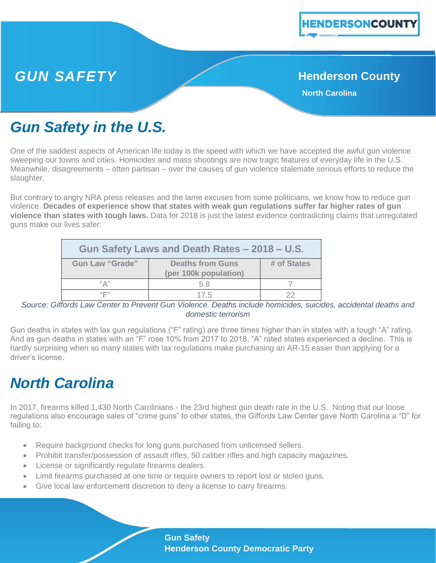

### **GUN SAFETY Henderson County**

**North Carolina**

## *Gun Safety in the U.S.*

One of the saddest aspects of American life today is the speed with which we have accepted the awful gun violence sweeping our towns and cities. Homicides and mass shootings are now tragic features of everyday life in the U.S. Meanwhile, disagreements – often partisan – over the causes of gun violence stalemate serious efforts to reduce the slaughter.

But contrary to angry NRA press releases and the lame excuses from some politicians, we know how to reduce gun violence. **Decades of experience show that states with weak gun regulations suffer far higher rates of gun violence than states with tough laws.** Data for 2018 is just the latest evidence contradicting claims that unregulated guns make our lives safer:

| Gun Safety Laws and Death Rates - 2018 - U.S. |                                                  |             |
|-----------------------------------------------|--------------------------------------------------|-------------|
| <b>Gun Law "Grade"</b>                        | <b>Deaths from Guns</b><br>(per 100k population) | # of States |
| "Д"                                           | 5.8                                              |             |
| "口"                                           | 17.5                                             | つつ          |

*Source: Giffords Law Center to Prevent Gun Violence. Deaths include homicides, suicides, accidental deaths and domestic terrorism*

Gun deaths in states with lax gun regulations ("F" rating) are three times higher than in states with a tough "A" rating. And as gun deaths in states with an "F" rose 10% from 2017 to 2018, "A" rated states experienced a decline. This is hardly surprising when so many states with lax regulations make purchasing an AR-15 easier than applying for a driver's license.

## *North Carolina*

In 2017, firearms killed 1,430 North Carolinians - the 23rd highest gun death rate in the U.S. Noting that our loose regulations also encourage sales of "crime guns" to other states, the Giffords Law Center gave North Carolina a "D" for failing to:

- Require background checks for long guns purchased from unlicensed sellers.
- Prohibit transfer/possession of assault rifles, 50 caliber rifles and high capacity magazines.
- License or significantly regulate firearms dealers.
- Limit firearms purchased at one time or require owners to report lost or stolen guns.
- Give local law enforcement discretion to deny a license to carry firearms.

**Gun Safety Henderson County Democratic Party**